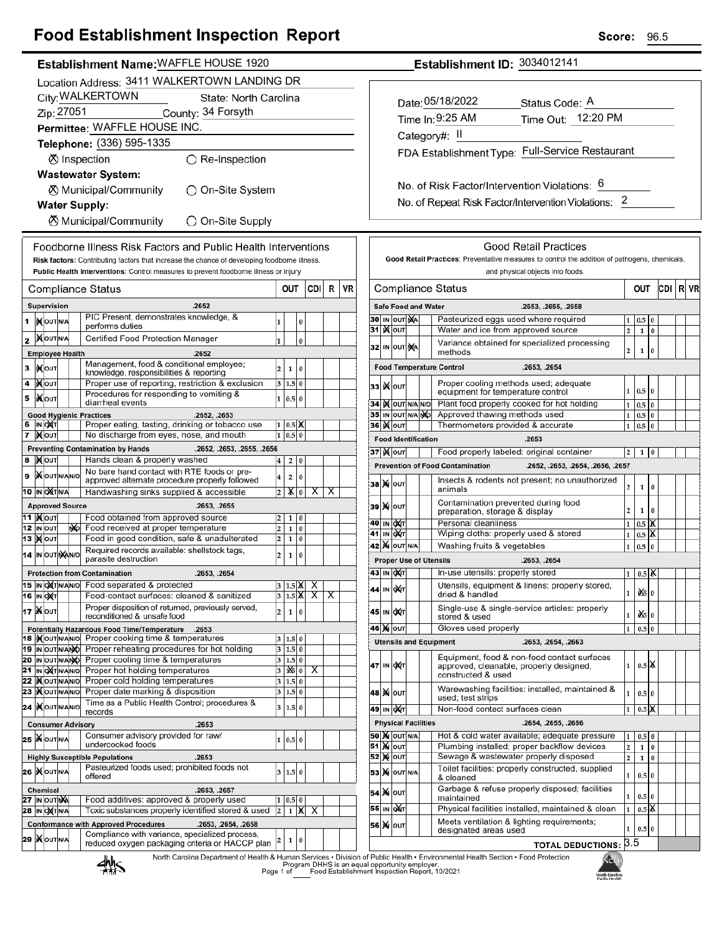## **Food Establishment Inspection Report**

CDI R VR

| Establishment Name: WAFFLE HOUSE 1920                                                                                                                     | Establishment ID: 3034012141                                                                                                                                                                  |
|-----------------------------------------------------------------------------------------------------------------------------------------------------------|-----------------------------------------------------------------------------------------------------------------------------------------------------------------------------------------------|
| Location Address: 3411 WALKERTOWN LANDING DR                                                                                                              |                                                                                                                                                                                               |
| City: WALKERTOWN<br>State: North Carolina                                                                                                                 |                                                                                                                                                                                               |
| Zip: 27051<br>County: 34 Forsyth                                                                                                                          | Date: 05/18/2022<br>Status Code: A                                                                                                                                                            |
| Permittee: WAFFLE HOUSE INC.                                                                                                                              | Time Out: 12:20 PM<br>Time In: 9:25 AM                                                                                                                                                        |
| Telephone: (336) 595-1335                                                                                                                                 | Category#: II                                                                                                                                                                                 |
|                                                                                                                                                           | FDA Establishment Type: Full-Service Restaurant                                                                                                                                               |
| ⊗ Inspection<br>$\bigcirc$ Re-Inspection                                                                                                                  |                                                                                                                                                                                               |
| <b>Wastewater System:</b>                                                                                                                                 | No. of Risk Factor/Intervention Violations: 6                                                                                                                                                 |
| <b><math>\oslash</math> Municipal/Community</b><br>◯ On-Site System                                                                                       |                                                                                                                                                                                               |
| <b>Water Supply:</b>                                                                                                                                      | No. of Repeat Risk Factor/Intervention Violations: 2                                                                                                                                          |
| <b><math>\oslash</math> Municipal/Community</b><br>◯ On-Site Supply                                                                                       |                                                                                                                                                                                               |
| Foodborne Illness Risk Factors and Public Health Interventions                                                                                            | <b>Good Retail Practices</b>                                                                                                                                                                  |
| Risk factors: Contributing factors that increase the chance of developing foodborne illness.                                                              | Good Retail Practices: Preventative measures to control the addition of pathogens, chemicals                                                                                                  |
| Public Health Interventions: Control measures to prevent foodborne illness or injury                                                                      | and physical objects into foods.                                                                                                                                                              |
| <b>CDI</b><br>OUT<br><b>Compliance Status</b>                                                                                                             | $R$ VR<br>CDI R<br>Compliance Status<br>OUT                                                                                                                                                   |
| .2652<br>Supervision                                                                                                                                      | <b>Safe Food and Water</b><br>.2653, .2655, .2658                                                                                                                                             |
| PIC Present, demonstrates knowledge, &<br>IN OUT N/A<br>0<br>performs duties                                                                              | 30 IN OUT NA<br>Pasteurized eggs used where required<br>$1 \ 0.5 \ 0$                                                                                                                         |
| <b>KOUTNA</b><br>Certified Food Protection Manager                                                                                                        | 31 <b>X</b> OUT<br>Water and ice from approved source<br>$\overline{2}$<br>$1\ 0$                                                                                                             |
| 1<br>$\bf{0}$<br><b>Employee Health</b><br>.2652                                                                                                          | Variance obtained for specialized processing<br>32 IN OUT NA<br>$\mathbf{2}$<br>$1\,0$<br>methods                                                                                             |
| Management, food & conditional employee;<br><b>XOUT</b><br>$\overline{\mathbf{c}}$<br>$\mathbf{1}$<br>$\bf{0}$<br>knowledge, responsibilities & reporting | <b>Food Temperature Control</b><br>.2653, .2654                                                                                                                                               |
| Proper use of reporting, restriction & exclusion<br><b>XOUT</b><br>3   1.5   0                                                                            | Proper cooling methods used; adequate<br>33 X OUT                                                                                                                                             |
| Procedures for responding to vomiting &<br><b>Ж</b> оит<br>1   0.5   0                                                                                    | $1 \ 0.5 \ 0$<br>equipment for temperature control                                                                                                                                            |
| diarrheal events<br><b>Good Hygienic Practices</b><br>.2652, .2653                                                                                        | 34 KOUT N/A N/O<br>Plant food properly cooked for hot holding<br>$1 \ 0.5 \ 0$<br>Approved thawing methods used<br>35 IN OUT N/A NO<br>$1\overline{0.5}$ 0                                    |
| IN OXT<br>Proper eating, tasting, drinking or tobacco use<br>1 0.5 X                                                                                      | <b>36 ) о</b> лт<br>Thermometers provided & accurate<br>$1\overline{0.5}0$                                                                                                                    |
| 7 Mout<br>No discharge from eyes, nose, and mouth<br>1   0.5   0                                                                                          | <b>Food Identification</b><br>.2653                                                                                                                                                           |
| <b>Preventing Contamination by Hands</b><br>.2652, .2653, .2655, .2656                                                                                    | <b>37   М</b> олт<br>Food properly labeled: original container<br>$2 \quad 1 \quad 0$                                                                                                         |
| <b>XOUT</b><br>Hands clean & properly washed<br>2 0<br>$\overline{\mathbf{4}}$<br>No bare hand contact with RTE foods or pre-                             | <b>Prevention of Food Contamination</b><br>.2652, .2653, .2654, .2656, .2657                                                                                                                  |
| <b>X</b> OUTINANO<br>$\overline{2}$<br>$\overline{\mathbf{4}}$<br>$\overline{0}$<br>approved alternate procedure properly followed                        | Insects & rodents not present; no unauthorized<br>38 X OUT<br>$\overline{a}$<br>$1 \vert 0$                                                                                                   |
| $\overline{X}$<br><b>10 IN OXT N/A</b><br>Handwashing sinks supplied & accessible<br>$2 \mathbf{X} \cdot 0$                                               | animals<br>X<br>Contamination prevented during food                                                                                                                                           |
| <b>Approved Source</b><br>.2653, .2655<br><b>11   NOUT</b><br>Food obtained from approved source<br>$2 \mid 1 \mid 0$                                     | 39 X OUT<br>$\mathbf{2}$<br>$1 \vert 0$<br>preparation, storage & display                                                                                                                     |
| 12 IN OUT<br>Food received at proper temperature<br>$\overline{\mathbf{c}}$<br>NO.<br>1 0                                                                 | <b>40 IN OXT</b><br>Personal cleanliness<br>$0.5\vert X$<br>$\mathbf{1}$                                                                                                                      |
| 13 MOUT<br>Food in good condition, safe & unadulterated<br>$2 \mid 1 \mid 0$                                                                              | <b>41 IN OXT</b><br>Wiping cloths: properly used & stored<br>$0.5$ $\overline{\mathsf{X}}$<br>$\mathbf{1}$<br><b>42 X</b> OUT N/A<br>Washing fruits & vegetables<br>$\mathbf{1}$<br>$0.5\,$ 0 |
| Required records available: shellstock tags,<br>14 IN OUT NANO<br>$\overline{\mathbf{c}}$<br>$\mathbf 1$<br>0<br>parasite destruction                     | <b>Proper Use of Utensils</b><br>.2653, .2654                                                                                                                                                 |
| <b>Protection from Contamination</b><br>.2653, .2654                                                                                                      | 43 IN OXT<br>In-use utensils: properly stored<br>$0.5\,$ $\alpha$<br>1                                                                                                                        |
| 15 IN OXT N/AN/O Food separated & protected<br>$3$ 1.5 $\mathbb{X}$ X                                                                                     | Utensils, equipment & linens: properly stored                                                                                                                                                 |
| <b>16 IN OXT</b><br>Food-contact surfaces: cleaned & sanitized<br>3 $1.5 X $<br>$\overline{X}$                                                            | 44 IN OUT<br>050<br>1<br>dried & handled<br>X                                                                                                                                                 |
| Proper disposition of returned, previously served,<br>17   Nout<br>$\overline{\mathbf{c}}$<br>1 0<br>reconditioned & unsafe food                          | Single-use & single-service articles: properly<br>45 IN OXT<br>$\frac{d}{d}$ 0<br>$1\vert$<br>stored & used                                                                                   |
| Potentially Hazardous Food Time/Temperature<br>.2653                                                                                                      | Gloves used properly<br>$1 \overline{\phantom{0}} 0.5 \overline{\phantom{0}} 0$<br>46 Х оит                                                                                                   |
| 18   Nout NANO Proper cooking time & temperatures<br>3   1.5   0<br>19 IN OUT N/ANO<br>Proper reheating procedures for hot holding<br>3 1.5 0             | <b>Utensils and Equipment</b><br>.2653, .2654, .2663                                                                                                                                          |
| 20 IN OUT N/ANO Proper cooling time & temperatures<br>3   1.5   0                                                                                         | Equipment, food & non-food contact surfaces                                                                                                                                                   |
| 21 IN ONT N/AN/O Proper hot holding temperatures<br>1% 0<br>3<br>X                                                                                        | 47 IN OXT<br>$1 \mid 0.5$ X<br>approved, cleanable, properly designed,<br>constructed & used                                                                                                  |
| 22   Nout NAN No Proper cold holding temperatures<br>3<br>1.5 0                                                                                           | Warewashing facilities: installed, maintained &                                                                                                                                               |
| 23 Xout NANO Proper date marking & disposition<br>3 1.5 0<br>Time as a Public Health Control; procedures &                                                | <b>48 X</b>  оυт <br>$0.5\,0$<br>1 <sup>1</sup><br>used; test strips                                                                                                                          |
| 24  KOUTNANO<br>3   1.5   0<br>records                                                                                                                    | Non-food contact surfaces clean<br>0.5 <sup>o</sup><br>49 IN QAT<br>$\mathbf{1}$                                                                                                              |
| <b>Consumer Advisory</b><br>.2653                                                                                                                         | <b>Physical Facilities</b><br>.2654, .2655, .2656                                                                                                                                             |
| Consumer advisory provided for raw/<br><b>25 WOUTNA</b><br>1   0.5   0<br>undercooked foods                                                               | <b>50 M OUT N/A</b><br>Hot & cold water available; adequate pressure<br>$0.5\vert 0$<br>1<br><b>51 X OUT</b><br>Plumbing installed; proper backflow devices<br>$\mathbf{2}$<br>$1\,0$         |
| <b>Highly Susceptible Populations</b><br>.2653                                                                                                            | $\overline{2}$<br><b>52 MOUT</b><br>Sewage & wastewater properly disposed<br>$1\quad0$                                                                                                        |
| Pasteurized foods used; prohibited foods not<br><b>26 MOUTNA</b><br>3   1.5   0<br>offered                                                                | Toilet facilities: properly constructed, supplied<br><b>53 X</b> OUT N/A<br>$1\vert$<br>$0.5\vert 0$<br>& cleaned                                                                             |
| Chemical<br>.2653, .2657                                                                                                                                  | Garbage & refuse properly disposed; facilities<br><b>54 X OUT</b>                                                                                                                             |
| 27 IN OUT NA<br>Food additives: approved & properly used<br>$1 \ 0.5 \ 0$<br>28 IN OXTNA<br>Toxic substances properly identified stored & used            | 0.5 0<br>$\mathbf{1}$<br>maintained<br>$0.5$ $\overline{\mathsf{K}}$<br>Physical facilities installed, maintained & clean<br>55 IN OXT<br>$\mathbf{1}$                                        |
| $1$ $X$<br>$\overline{\mathbf{c}}$<br>X<br><b>Conformance with Approved Procedures</b><br>.2653, .2654, .2658                                             | Meets ventilation & lighting requirements;                                                                                                                                                    |
| Compliance with variance, specialized process,                                                                                                            | 56 X 0UT<br>$1 \ 0.5 \ 0$<br>designated areas used                                                                                                                                            |
| 29   OUTNA<br>1 0<br>reduced oxygen packaging criteria or HACCP plan                                                                                      | <b>TOTAL DEDUCTIONS: 3.5</b>                                                                                                                                                                  |
|                                                                                                                                                           |                                                                                                                                                                                               |

North Carolina Department of Health & Human Services • Division of Public Health • Environmental Health Section • Food Protection<br>Program DHHS is an equal opportunity employer.<br>Page 1 of Food Establishment Inspection Repor



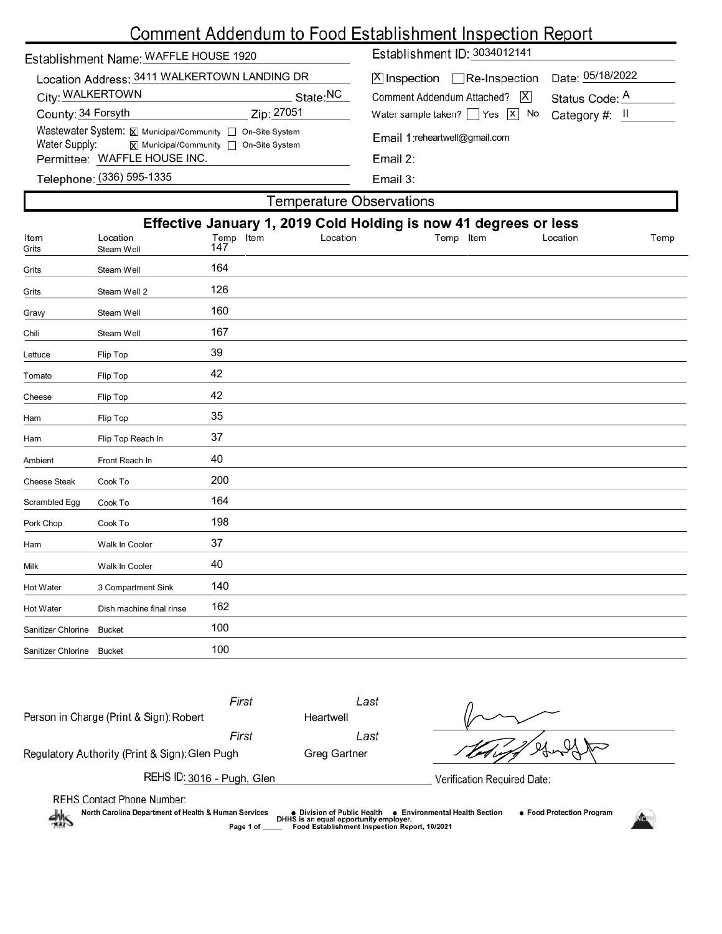## Comment Addendum to Food Establishment Inspection Report

| Establishment Name: WAFFLE HOUSE 1920                                           |                        | Establishment ID: 3034012141             |                  |  |
|---------------------------------------------------------------------------------|------------------------|------------------------------------------|------------------|--|
| Location Address: 3411 WALKERTOWN LANDING DR                                    |                        | $[X]$ Inspection Re-Inspection           | Date: 05/18/2022 |  |
| City: WALKERTOWN                                                                | State:NC<br>Zip: 27051 | X <br>Comment Addendum Attached?         | Status Code: A   |  |
| County: 34 Forsyth<br>Wastewater System: X Municipal/Community   On-Site System |                        | Water sample taken? $\Box$ Yes $\Box$ No | Category #: II   |  |
| Water Supply:<br>$\overline{x}$ Municipal/Community $\Box$ On-Site System       |                        | Email 1: reheartwell@gmail.com           |                  |  |
| Permittee: WAFFLE HOUSE INC.                                                    |                        | Email 2:                                 |                  |  |
| Telephone: (336) 595-1335                                                       |                        | Email 3:                                 |                  |  |
| Temperature Observations                                                        |                        |                                          |                  |  |

|                     |                                                                  |                  | i omporatare e poesi vatione |           |          |      |
|---------------------|------------------------------------------------------------------|------------------|------------------------------|-----------|----------|------|
|                     | Effective January 1, 2019 Cold Holding is now 41 degrees or less |                  |                              |           |          |      |
| Item<br>Grits       | Location<br>Steam Well                                           | Temp Item<br>147 | Location                     | Temp Item | Location | Temp |
| Grits               | Steam Well                                                       | 164              |                              |           |          |      |
| Grits               | Steam Well 2                                                     | 126              |                              |           |          |      |
| Gravy               | Steam Well                                                       | 160              |                              |           |          |      |
| Chili               | Steam Well                                                       | 167              |                              |           |          |      |
| Lettuce             | Flip Top                                                         | 39               |                              |           |          |      |
| Tomato              | Flip Top                                                         | 42               |                              |           |          |      |
| Cheese              | Flip Top                                                         | 42               |                              |           |          |      |
| Ham                 | Flip Top                                                         | 35               |                              |           |          |      |
| Ham                 | Flip Top Reach In                                                | 37               |                              |           |          |      |
| Ambient             | Front Reach In                                                   | 40               |                              |           |          |      |
| <b>Cheese Steak</b> | Cook To                                                          | 200              |                              |           |          |      |
| Scrambled Egg       | Cook To                                                          | 164              |                              |           |          |      |
| Pork Chop           | Cook To                                                          | 198              |                              |           |          |      |
| Ham                 | Walk In Cooler                                                   | 37               |                              |           |          |      |
| Milk                | Walk In Cooler                                                   | 40               |                              |           |          |      |
| Hot Water           | 3 Compartment Sink                                               | 140              |                              |           |          |      |
| Hot Water           | Dish machine final rinse                                         | 162              |                              |           |          |      |
| Sanitizer Chlorine  | <b>Bucket</b>                                                    | 100              |                              |           |          |      |
| Sanitizer Chlorine  | <b>Bucket</b>                                                    | 100              |                              |           |          |      |
|                     |                                                                  |                  |                              |           |          |      |

|                                                                                                      | First                       | Last                                                             |
|------------------------------------------------------------------------------------------------------|-----------------------------|------------------------------------------------------------------|
| Person in Charge (Print & Sign): Robert                                                              | Heartwell                   |                                                                  |
|                                                                                                      | First                       | Last                                                             |
| Regulatory Authority (Print & Sign): Glen Pugh                                                       | Greg Gartner                |                                                                  |
| REHS ID: 3016 - Pugh, Glen                                                                           |                             | Verification Required Date:                                      |
| <b>REHS Contact Phone Number:</b><br>North Carolina Department of Health & Human Services<br>– ماھاپ | • Division of Public Health | ● Food Protection Program<br><b>Environmental Health Section</b> |

AMS

● Division of Public Health ● Environmental Health Section<br>DHHS is an equal opportunity employer.<br>\_\_\_ Food Establishment Inspection Report, 10/2021 Page 1 of

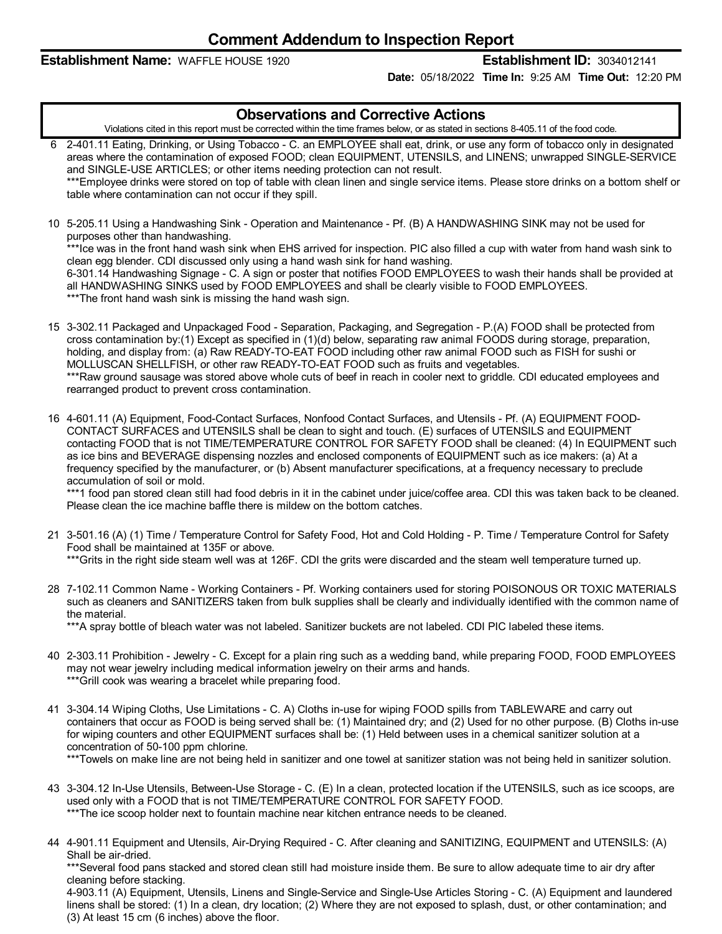## **Establishment Name:** WAFFLE HOUSE 1920 **Establishment ID:** 3034012141

**Date:** 05/18/2022 **Time In:** 9:25 AM **Time Out:** 12:20 PM

| <b>Observations and Corrective Actions</b>                                                                                                                                                                                                                                                                                                                                                                                                                                                                                                                                                                                                                                                                                                                                                                                                         |
|----------------------------------------------------------------------------------------------------------------------------------------------------------------------------------------------------------------------------------------------------------------------------------------------------------------------------------------------------------------------------------------------------------------------------------------------------------------------------------------------------------------------------------------------------------------------------------------------------------------------------------------------------------------------------------------------------------------------------------------------------------------------------------------------------------------------------------------------------|
| Violations cited in this report must be corrected within the time frames below, or as stated in sections 8-405.11 of the food code.                                                                                                                                                                                                                                                                                                                                                                                                                                                                                                                                                                                                                                                                                                                |
| 6 2-401.11 Eating, Drinking, or Using Tobacco - C. an EMPLOYEE shall eat, drink, or use any form of tobacco only in designated<br>areas where the contamination of exposed FOOD; clean EQUIPMENT, UTENSILS, and LINENS; unwrapped SINGLE-SERVICE<br>and SINGLE-USE ARTICLES; or other items needing protection can not result.<br>***Employee drinks were stored on top of table with clean linen and single service items. Please store drinks on a bottom shelf or<br>table where contamination can not occur if they spill.                                                                                                                                                                                                                                                                                                                     |
| 10 5-205.11 Using a Handwashing Sink - Operation and Maintenance - Pf. (B) A HANDWASHING SINK may not be used for<br>purposes other than handwashing.<br>*** Ice was in the front hand wash sink when EHS arrived for inspection. PIC also filled a cup with water from hand wash sink to<br>clean egg blender. CDI discussed only using a hand wash sink for hand washing.<br>6-301.14 Handwashing Signage - C. A sign or poster that notifies FOOD EMPLOYEES to wash their hands shall be provided at<br>all HANDWASHING SINKS used by FOOD EMPLOYEES and shall be clearly visible to FOOD EMPLOYEES.<br>***The front hand wash sink is missing the hand wash sign.                                                                                                                                                                              |
| 15 3-302.11 Packaged and Unpackaged Food - Separation, Packaging, and Segregation - P.(A) FOOD shall be protected from<br>cross contamination by:(1) Except as specified in (1)(d) below, separating raw animal FOODS during storage, preparation,<br>holding, and display from: (a) Raw READY-TO-EAT FOOD including other raw animal FOOD such as FISH for sushi or<br>MOLLUSCAN SHELLFISH, or other raw READY-TO-EAT FOOD such as fruits and vegetables.<br>***Raw ground sausage was stored above whole cuts of beef in reach in cooler next to griddle. CDI educated employees and<br>rearranged product to prevent cross contamination.                                                                                                                                                                                                       |
| 16 4-601.11 (A) Equipment, Food-Contact Surfaces, Nonfood Contact Surfaces, and Utensils - Pf. (A) EQUIPMENT FOOD-<br>CONTACT SURFACES and UTENSILS shall be clean to sight and touch. (E) surfaces of UTENSILS and EQUIPMENT<br>contacting FOOD that is not TIME/TEMPERATURE CONTROL FOR SAFETY FOOD shall be cleaned: (4) In EQUIPMENT such<br>as ice bins and BEVERAGE dispensing nozzles and enclosed components of EQUIPMENT such as ice makers: (a) At a<br>frequency specified by the manufacturer, or (b) Absent manufacturer specifications, at a frequency necessary to preclude<br>accumulation of soil or mold.<br>***1 food pan stored clean still had food debris in it in the cabinet under juice/coffee area. CDI this was taken back to be cleaned.<br>Please clean the ice machine baffle there is mildew on the bottom catches. |
| 21 3-501.16 (A) (1) Time / Temperature Control for Safety Food, Hot and Cold Holding - P. Time / Temperature Control for Safety<br>Food shall be maintained at 135F or above.<br>***Grits in the right side steam well was at 126F. CDI the grits were discarded and the steam well temperature turned up.                                                                                                                                                                                                                                                                                                                                                                                                                                                                                                                                         |
| 28 7-102.11 Common Name - Working Containers - Pf. Working containers used for storing POISONOUS OR TOXIC MATERIALS<br>such as cleaners and SANITIZERS taken from bulk supplies shall be clearly and individually identified with the common name of<br>the material.<br>***A spray bottle of bleach water was not labeled. Sanitizer buckets are not labeled. CDI PIC labeled these items.                                                                                                                                                                                                                                                                                                                                                                                                                                                        |
| 40 2-303.11 Prohibition - Jewelry - C. Except for a plain ring such as a wedding band, while preparing FOOD, FOOD EMPLOYEES<br>may not wear jewelry including medical information jewelry on their arms and hands.<br>*** Grill cook was wearing a bracelet while preparing food.                                                                                                                                                                                                                                                                                                                                                                                                                                                                                                                                                                  |
| 41 3-304.14 Wiping Cloths, Use Limitations - C. A) Cloths in-use for wiping FOOD spills from TABLEWARE and carry out<br>containers that occur as FOOD is being served shall be: (1) Maintained dry; and (2) Used for no other purpose. (B) Cloths in-use<br>for wiping counters and other EQUIPMENT surfaces shall be: (1) Held between uses in a chemical sanitizer solution at a<br>concentration of 50-100 ppm chlorine.<br>***Towels on make line are not being held in sanitizer and one towel at sanitizer station was not being held in sanitizer solution.                                                                                                                                                                                                                                                                                 |
|                                                                                                                                                                                                                                                                                                                                                                                                                                                                                                                                                                                                                                                                                                                                                                                                                                                    |

- 43 3-304.12 In-Use Utensils, Between-Use Storage C. (E) In a clean, protected location if the UTENSILS, such as ice scoops, are used only with a FOOD that is not TIME/TEMPERATURE CONTROL FOR SAFETY FOOD. \*\*\*The ice scoop holder next to fountain machine near kitchen entrance needs to be cleaned.
- 44 4-901.11 Equipment and Utensils, Air-Drying Required C. After cleaning and SANITIZING, EQUIPMENT and UTENSILS: (A) Shall be air-dried.

\*\*\*Several food pans stacked and stored clean still had moisture inside them. Be sure to allow adequate time to air dry after cleaning before stacking.

4-903.11 (A) Equipment, Utensils, Linens and Single-Service and Single-Use Articles Storing - C. (A) Equipment and laundered linens shall be stored: (1) In a clean, dry location; (2) Where they are not exposed to splash, dust, or other contamination; and (3) At least 15 cm (6 inches) above the floor.